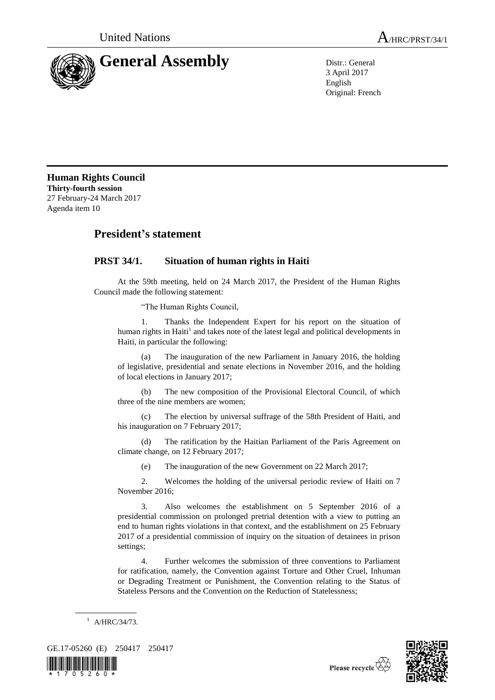



3 April 2017 English Original: French

**Human Rights Council Thirty-fourth session** 27 February-24 March 2017 Agenda item 10

## **President's statement**

## **PRST 34/1. Situation of human rights in Haiti**

At the 59th meeting, held on 24 March 2017, the President of the Human Rights Council made the following statement:

"The Human Rights Council,

1. Thanks the Independent Expert for his report on the situation of human rights in Haiti<sup>1</sup> and takes note of the latest legal and political developments in Haiti, in particular the following:

(a) The inauguration of the new Parliament in January 2016, the holding of legislative, presidential and senate elections in November 2016, and the holding of local elections in January 2017;

(b) The new composition of the Provisional Electoral Council, of which three of the nine members are women;

(c) The election by universal suffrage of the 58th President of Haiti, and his inauguration on 7 February 2017;

(d) The ratification by the Haitian Parliament of the Paris Agreement on climate change, on 12 February 2017;

(e) The inauguration of the new Government on 22 March 2017;

2. Welcomes the holding of the universal periodic review of Haiti on 7 November 2016;

3. Also welcomes the establishment on 5 September 2016 of a presidential commission on prolonged pretrial detention with a view to putting an end to human rights violations in that context, and the establishment on 25 February 2017 of a presidential commission of inquiry on the situation of detainees in prison settings;

4. Further welcomes the submission of three conventions to Parliament for ratification, namely, the Convention against Torture and Other Cruel, Inhuman or Degrading Treatment or Punishment, the Convention relating to the Status of Stateless Persons and the Convention on the Reduction of Statelessness;





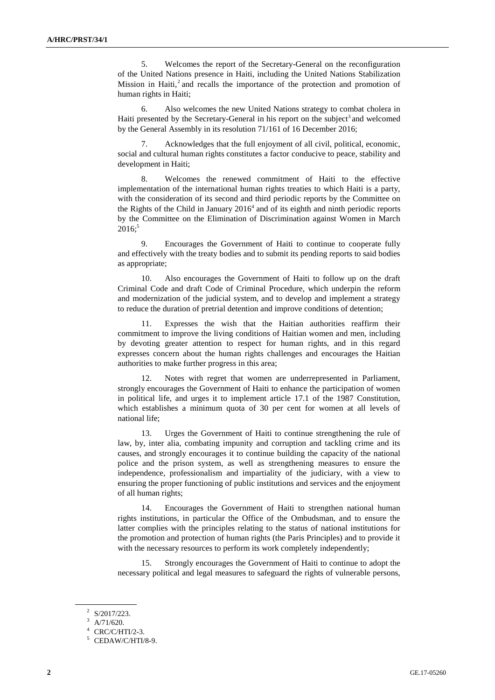5. Welcomes the report of the Secretary-General on the reconfiguration of the United Nations presence in Haiti, including the United Nations Stabilization Mission in Haiti,<sup>2</sup> and recalls the importance of the protection and promotion of human rights in Haiti;

6. Also welcomes the new United Nations strategy to combat cholera in Haiti presented by the Secretary-General in his report on the subject<sup>3</sup> and welcomed by the General Assembly in its resolution 71/161 of 16 December 2016;

Acknowledges that the full enjoyment of all civil, political, economic, social and cultural human rights constitutes a factor conducive to peace, stability and development in Haiti;

8. Welcomes the renewed commitment of Haiti to the effective implementation of the international human rights treaties to which Haiti is a party, with the consideration of its second and third periodic reports by the Committee on the Rights of the Child in January  $2016<sup>4</sup>$  and of its eighth and ninth periodic reports by the Committee on the Elimination of Discrimination against Women in March  $2016$ ;<sup>5</sup>

9. Encourages the Government of Haiti to continue to cooperate fully and effectively with the treaty bodies and to submit its pending reports to said bodies as appropriate;

10. Also encourages the Government of Haiti to follow up on the draft Criminal Code and draft Code of Criminal Procedure, which underpin the reform and modernization of the judicial system, and to develop and implement a strategy to reduce the duration of pretrial detention and improve conditions of detention;

11. Expresses the wish that the Haitian authorities reaffirm their commitment to improve the living conditions of Haitian women and men, including by devoting greater attention to respect for human rights, and in this regard expresses concern about the human rights challenges and encourages the Haitian authorities to make further progress in this area;

12. Notes with regret that women are underrepresented in Parliament, strongly encourages the Government of Haiti to enhance the participation of women in political life, and urges it to implement article 17.1 of the 1987 Constitution, which establishes a minimum quota of 30 per cent for women at all levels of national life;

13. Urges the Government of Haiti to continue strengthening the rule of law, by, inter alia, combating impunity and corruption and tackling crime and its causes, and strongly encourages it to continue building the capacity of the national police and the prison system, as well as strengthening measures to ensure the independence, professionalism and impartiality of the judiciary, with a view to ensuring the proper functioning of public institutions and services and the enjoyment of all human rights;

14. Encourages the Government of Haiti to strengthen national human rights institutions, in particular the Office of the Ombudsman, and to ensure the latter complies with the principles relating to the status of national institutions for the promotion and protection of human rights (the Paris Principles) and to provide it with the necessary resources to perform its work completely independently;

15. Strongly encourages the Government of Haiti to continue to adopt the necessary political and legal measures to safeguard the rights of vulnerable persons,

 $2^2$  S/2017/223.

A/71/620.

CRC/C/HTI/2-3.

<sup>5</sup> CEDAW/C/HTI/8-9.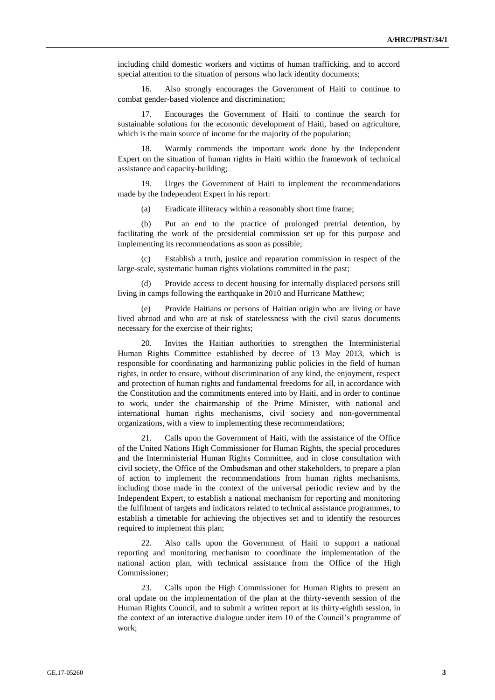including child domestic workers and victims of human trafficking, and to accord special attention to the situation of persons who lack identity documents;

16. Also strongly encourages the Government of Haiti to continue to combat gender-based violence and discrimination;

17. Encourages the Government of Haiti to continue the search for sustainable solutions for the economic development of Haiti, based on agriculture, which is the main source of income for the majority of the population;

Warmly commends the important work done by the Independent Expert on the situation of human rights in Haiti within the framework of technical assistance and capacity-building;

19. Urges the Government of Haiti to implement the recommendations made by the Independent Expert in his report:

(a) Eradicate illiteracy within a reasonably short time frame;

(b) Put an end to the practice of prolonged pretrial detention, by facilitating the work of the presidential commission set up for this purpose and implementing its recommendations as soon as possible;

Establish a truth, justice and reparation commission in respect of the large-scale, systematic human rights violations committed in the past;

(d) Provide access to decent housing for internally displaced persons still living in camps following the earthquake in 2010 and Hurricane Matthew;

(e) Provide Haitians or persons of Haitian origin who are living or have lived abroad and who are at risk of statelessness with the civil status documents necessary for the exercise of their rights;

Invites the Haitian authorities to strengthen the Interministerial Human Rights Committee established by decree of 13 May 2013, which is responsible for coordinating and harmonizing public policies in the field of human rights, in order to ensure, without discrimination of any kind, the enjoyment, respect and protection of human rights and fundamental freedoms for all, in accordance with the Constitution and the commitments entered into by Haiti, and in order to continue to work, under the chairmanship of the Prime Minister, with national and international human rights mechanisms, civil society and non-governmental organizations, with a view to implementing these recommendations;

21. Calls upon the Government of Haiti, with the assistance of the Office of the United Nations High Commissioner for Human Rights, the special procedures and the Interministerial Human Rights Committee, and in close consultation with civil society, the Office of the Ombudsman and other stakeholders, to prepare a plan of action to implement the recommendations from human rights mechanisms, including those made in the context of the universal periodic review and by the Independent Expert, to establish a national mechanism for reporting and monitoring the fulfilment of targets and indicators related to technical assistance programmes, to establish a timetable for achieving the objectives set and to identify the resources required to implement this plan;

22. Also calls upon the Government of Haiti to support a national reporting and monitoring mechanism to coordinate the implementation of the national action plan, with technical assistance from the Office of the High Commissioner;

23. Calls upon the High Commissioner for Human Rights to present an oral update on the implementation of the plan at the thirty-seventh session of the Human Rights Council, and to submit a written report at its thirty-eighth session, in the context of an interactive dialogue under item 10 of the Council's programme of work;